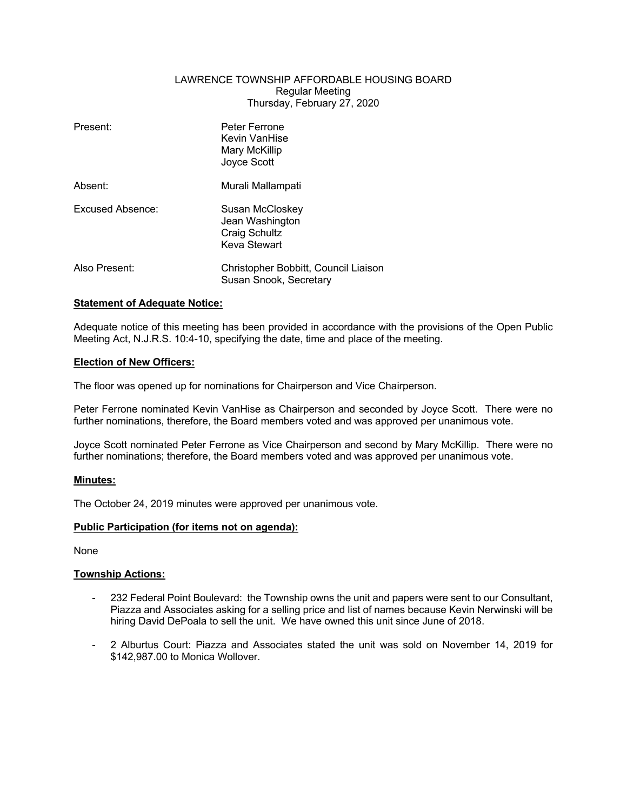# LAWRENCE TOWNSHIP AFFORDABLE HOUSING BOARD Regular Meeting Thursday, February 27, 2020

| Present:         | Peter Ferrone<br>Kevin VanHise<br>Mary McKillip<br>Joyce Scott      |
|------------------|---------------------------------------------------------------------|
| Absent:          | Murali Mallampati                                                   |
| Excused Absence: | Susan McCloskey<br>Jean Washington<br>Craig Schultz<br>Keva Stewart |
| Also Present:    | Christopher Bobbitt, Council Liaison<br>Susan Snook, Secretary      |

# **Statement of Adequate Notice:**

Adequate notice of this meeting has been provided in accordance with the provisions of the Open Public Meeting Act, N.J.R.S. 10:4-10, specifying the date, time and place of the meeting.

### **Election of New Officers:**

The floor was opened up for nominations for Chairperson and Vice Chairperson.

Peter Ferrone nominated Kevin VanHise as Chairperson and seconded by Joyce Scott. There were no further nominations, therefore, the Board members voted and was approved per unanimous vote.

Joyce Scott nominated Peter Ferrone as Vice Chairperson and second by Mary McKillip. There were no further nominations; therefore, the Board members voted and was approved per unanimous vote.

### **Minutes:**

The October 24, 2019 minutes were approved per unanimous vote.

### **Public Participation (for items not on agenda):**

None

# **Township Actions:**

- 232 Federal Point Boulevard: the Township owns the unit and papers were sent to our Consultant, Piazza and Associates asking for a selling price and list of names because Kevin Nerwinski will be hiring David DePoala to sell the unit. We have owned this unit since June of 2018.
- 2 Alburtus Court: Piazza and Associates stated the unit was sold on November 14, 2019 for \$142,987.00 to Monica Wollover.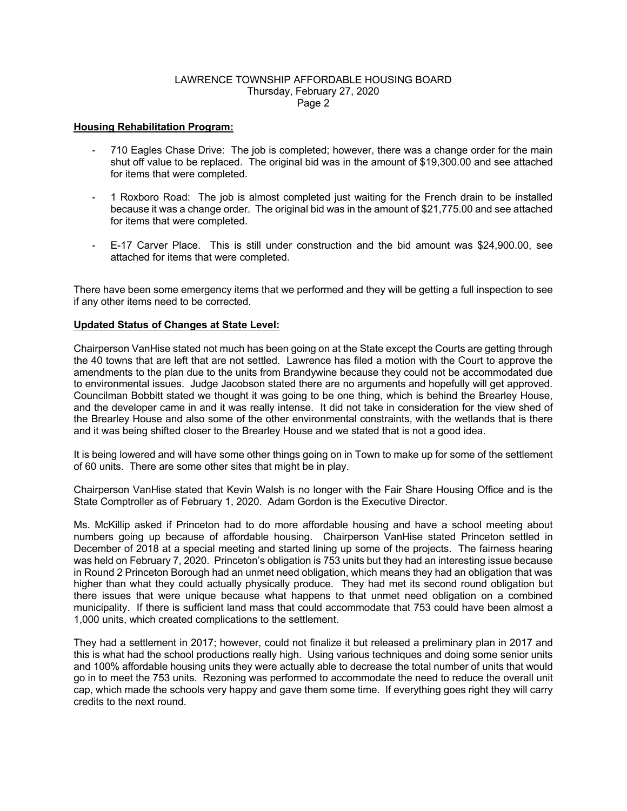### LAWRENCE TOWNSHIP AFFORDABLE HOUSING BOARD Thursday, February 27, 2020 Page 2

## **Housing Rehabilitation Program:**

- 710 Eagles Chase Drive: The job is completed; however, there was a change order for the main shut off value to be replaced. The original bid was in the amount of \$19,300.00 and see attached for items that were completed.
- 1 Roxboro Road: The job is almost completed just waiting for the French drain to be installed because it was a change order. The original bid was in the amount of \$21,775.00 and see attached for items that were completed.
- E-17 Carver Place. This is still under construction and the bid amount was \$24,900.00, see attached for items that were completed.

There have been some emergency items that we performed and they will be getting a full inspection to see if any other items need to be corrected.

### **Updated Status of Changes at State Level:**

Chairperson VanHise stated not much has been going on at the State except the Courts are getting through the 40 towns that are left that are not settled. Lawrence has filed a motion with the Court to approve the amendments to the plan due to the units from Brandywine because they could not be accommodated due to environmental issues. Judge Jacobson stated there are no arguments and hopefully will get approved. Councilman Bobbitt stated we thought it was going to be one thing, which is behind the Brearley House, and the developer came in and it was really intense. It did not take in consideration for the view shed of the Brearley House and also some of the other environmental constraints, with the wetlands that is there and it was being shifted closer to the Brearley House and we stated that is not a good idea.

It is being lowered and will have some other things going on in Town to make up for some of the settlement of 60 units. There are some other sites that might be in play.

Chairperson VanHise stated that Kevin Walsh is no longer with the Fair Share Housing Office and is the State Comptroller as of February 1, 2020. Adam Gordon is the Executive Director.

Ms. McKillip asked if Princeton had to do more affordable housing and have a school meeting about numbers going up because of affordable housing. Chairperson VanHise stated Princeton settled in December of 2018 at a special meeting and started lining up some of the projects. The fairness hearing was held on February 7, 2020. Princeton's obligation is 753 units but they had an interesting issue because in Round 2 Princeton Borough had an unmet need obligation, which means they had an obligation that was higher than what they could actually physically produce. They had met its second round obligation but there issues that were unique because what happens to that unmet need obligation on a combined municipality. If there is sufficient land mass that could accommodate that 753 could have been almost a 1,000 units, which created complications to the settlement.

They had a settlement in 2017; however, could not finalize it but released a preliminary plan in 2017 and this is what had the school productions really high. Using various techniques and doing some senior units and 100% affordable housing units they were actually able to decrease the total number of units that would go in to meet the 753 units. Rezoning was performed to accommodate the need to reduce the overall unit cap, which made the schools very happy and gave them some time. If everything goes right they will carry credits to the next round.